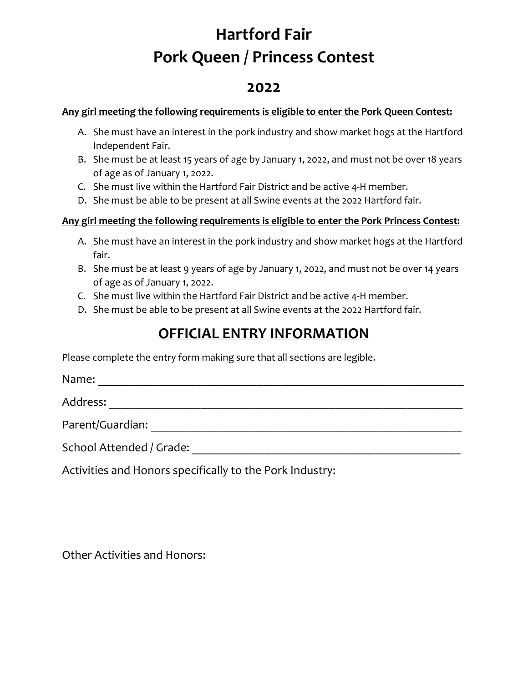# **Hartford Fair Pork Queen / Princess Contest**

### **2022**

#### **Any girl meeting the following requirements is eligible to enter the Pork Queen Contest:**

- A. She must have an interest in the pork industry and show market hogs at the Hartford Independent Fair.
- B. She must be at least 15 years of age by January 1, 2022, and must not be over 18 years of age as of January 1, 2022.
- C. She must live within the Hartford Fair District and be active 4-H member.
- D. She must be able to be present at all Swine events at the 2022 Hartford fair.

#### **Any girl meeting the following requirements is eligible to enter the Pork Princess Contest:**

- A. She must have an interest in the pork industry and show market hogs at the Hartford fair.
- B. She must be at least 9 years of age by January 1, 2022, and must not be over 14 years of age as of January 1, 2022.
- C. She must live within the Hartford Fair District and be active 4-H member.
- D. She must be able to be present at all Swine events at the 2022 Hartford fair.

### **OFFICIAL ENTRY INFORMATION**

Please complete the entry form making sure that all sections are legible.

Name: \_\_\_\_\_\_\_\_\_\_\_\_\_\_\_\_\_\_\_\_\_\_\_\_\_\_\_\_\_\_\_\_\_\_\_\_\_\_\_\_\_\_\_\_\_\_\_\_\_\_\_\_\_\_\_\_\_\_\_\_

Address: \_\_\_\_\_\_\_\_\_\_\_\_\_\_\_\_\_\_\_\_\_\_\_\_\_\_\_\_\_\_\_\_\_\_\_\_\_\_\_\_\_\_\_\_\_\_\_\_\_\_\_\_\_\_\_\_\_\_

Parent/Guardian: \_\_\_\_\_\_\_\_\_\_\_\_\_\_\_\_\_\_\_\_\_\_\_\_\_\_\_\_\_\_\_\_\_\_\_\_\_\_\_\_\_\_\_\_\_\_\_\_\_\_\_

School Attended / Grade: <u>Die als and the set of the set of the set of the set of the set of the set of the set of the set of the set of the set of the set of the set of the set of the set of the set of the set of the set </u>

Activities and Honors specifically to the Pork Industry:

Other Activities and Honors: